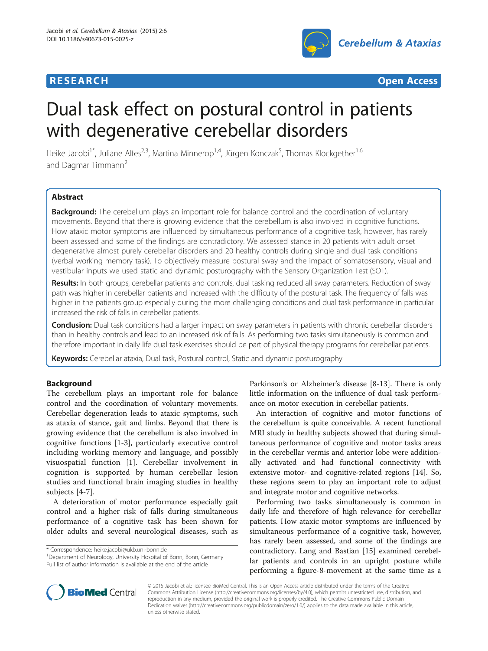## **RESEARCH RESEARCH** *CHECK CHECK CHECK CHECK CHECK CHECK CHECK CHECK CHECK CHECK CHECK CHECK CHECK CHECK CHECK CHECK CHECK CHECK CHECK CHECK CHECK CHECK CHECK CHECK CHECK CHECK CHECK CHECK CHECK CHECK CHECK CHECK CHECK*



# Dual task effect on postural control in patients with degenerative cerebellar disorders

Heike Jacobi<sup>1\*</sup>, Juliane Alfes<sup>2,3</sup>, Martina Minnerop<sup>1,4</sup>, Jürgen Konczak<sup>5</sup>, Thomas Klockgether<sup>1,6</sup> and Dagmar Timmann<sup>2</sup>

## **Abstract**

**Background:** The cerebellum plays an important role for balance control and the coordination of voluntary movements. Beyond that there is growing evidence that the cerebellum is also involved in cognitive functions. How ataxic motor symptoms are influenced by simultaneous performance of a cognitive task, however, has rarely been assessed and some of the findings are contradictory. We assessed stance in 20 patients with adult onset degenerative almost purely cerebellar disorders and 20 healthy controls during single and dual task conditions (verbal working memory task). To objectively measure postural sway and the impact of somatosensory, visual and vestibular inputs we used static and dynamic posturography with the Sensory Organization Test (SOT).

Results: In both groups, cerebellar patients and controls, dual tasking reduced all sway parameters. Reduction of sway path was higher in cerebellar patients and increased with the difficulty of the postural task. The frequency of falls was higher in the patients group especially during the more challenging conditions and dual task performance in particular increased the risk of falls in cerebellar patients.

Conclusion: Dual task conditions had a larger impact on sway parameters in patients with chronic cerebellar disorders than in healthy controls and lead to an increased risk of falls. As performing two tasks simultaneously is common and therefore important in daily life dual task exercises should be part of physical therapy programs for cerebellar patients.

Keywords: Cerebellar ataxia, Dual task, Postural control, Static and dynamic posturography

## Background

The cerebellum plays an important role for balance control and the coordination of voluntary movements. Cerebellar degeneration leads to ataxic symptoms, such as ataxia of stance, gait and limbs. Beyond that there is growing evidence that the cerebellum is also involved in cognitive functions [[1-3](#page-6-0)], particularly executive control including working memory and language, and possibly visuospatial function [\[1](#page-6-0)]. Cerebellar involvement in cognition is supported by human cerebellar lesion studies and functional brain imaging studies in healthy subjects [\[4](#page-6-0)-[7](#page-6-0)].

A deterioration of motor performance especially gait control and a higher risk of falls during simultaneous performance of a cognitive task has been shown for older adults and several neurological diseases, such as

\* Correspondence: [heike.jacobi@ukb.uni-bonn.de](mailto:heike.jacobi@ukb.uni-bonn.de) <sup>1</sup>

<sup>1</sup>Department of Neurology, University Hospital of Bonn, Bonn, Germany Full list of author information is available at the end of the article

Parkinson's or Alzheimer's disease [[8-13](#page-6-0)]. There is only little information on the influence of dual task performance on motor execution in cerebellar patients.

An interaction of cognitive and motor functions of the cerebellum is quite conceivable. A recent functional MRI study in healthy subjects showed that during simultaneous performance of cognitive and motor tasks areas in the cerebellar vermis and anterior lobe were additionally activated and had functional connectivity with extensive motor- and cognitive-related regions [\[14\]](#page-6-0). So, these regions seem to play an important role to adjust and integrate motor and cognitive networks.

Performing two tasks simultaneously is common in daily life and therefore of high relevance for cerebellar patients. How ataxic motor symptoms are influenced by simultaneous performance of a cognitive task, however, has rarely been assessed, and some of the findings are contradictory. Lang and Bastian [[15\]](#page-6-0) examined cerebellar patients and controls in an upright posture while performing a figure-8-movement at the same time as a



© 2015 Jacobi et al.; licensee BioMed Central. This is an Open Access article distributed under the terms of the Creative Commons Attribution License [\(http://creativecommons.org/licenses/by/4.0\)](http://creativecommons.org/licenses/by/4.0), which permits unrestricted use, distribution, and reproduction in any medium, provided the original work is properly credited. The Creative Commons Public Domain Dedication waiver [\(http://creativecommons.org/publicdomain/zero/1.0/](http://creativecommons.org/publicdomain/zero/1.0/)) applies to the data made available in this article, unless otherwise stated.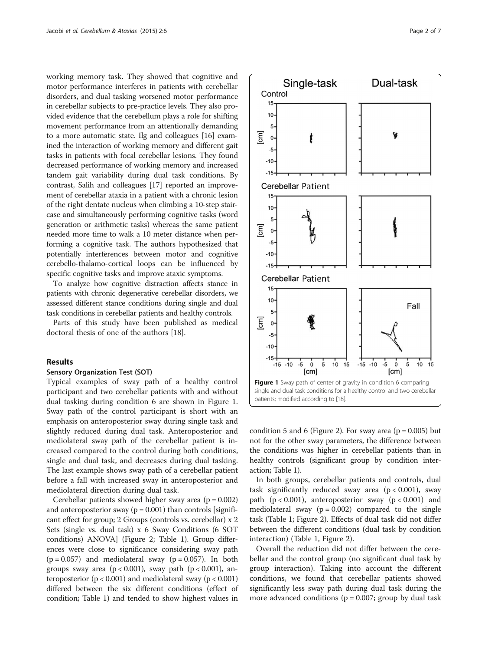working memory task. They showed that cognitive and motor performance interferes in patients with cerebellar disorders, and dual tasking worsened motor performance in cerebellar subjects to pre-practice levels. They also provided evidence that the cerebellum plays a role for shifting movement performance from an attentionally demanding to a more automatic state. Ilg and colleagues [\[16\]](#page-6-0) examined the interaction of working memory and different gait tasks in patients with focal cerebellar lesions. They found decreased performance of working memory and increased tandem gait variability during dual task conditions. By contrast, Salih and colleagues [\[17](#page-6-0)] reported an improvement of cerebellar ataxia in a patient with a chronic lesion of the right dentate nucleus when climbing a 10-step staircase and simultaneously performing cognitive tasks (word generation or arithmetic tasks) whereas the same patient needed more time to walk a 10 meter distance when performing a cognitive task. The authors hypothesized that potentially interferences between motor and cognitive cerebello-thalamo-cortical loops can be influenced by specific cognitive tasks and improve ataxic symptoms.

To analyze how cognitive distraction affects stance in patients with chronic degenerative cerebellar disorders, we assessed different stance conditions during single and dual task conditions in cerebellar patients and healthy controls.

Parts of this study have been published as medical doctoral thesis of one of the authors [[18](#page-6-0)].

### Results

#### Sensory Organization Test (SOT)

Typical examples of sway path of a healthy control participant and two cerebellar patients with and without dual tasking during condition 6 are shown in Figure 1. Sway path of the control participant is short with an emphasis on anteroposterior sway during single task and slightly reduced during dual task. Anteroposterior and mediolateral sway path of the cerebellar patient is increased compared to the control during both conditions, single and dual task, and decreases during dual tasking. The last example shows sway path of a cerebellar patient before a fall with increased sway in anteroposterior and mediolateral direction during dual task.

Cerebellar patients showed higher sway area  $(p = 0.002)$ and anteroposterior sway ( $p = 0.001$ ) than controls [significant effect for group; 2 Groups (controls vs. cerebellar) x 2 Sets (single vs. dual task) x 6 Sway Conditions (6 SOT conditions) ANOVA] (Figure [2](#page-2-0); Table [1](#page-3-0)). Group differences were close to significance considering sway path  $(p = 0.057)$  and mediolateral sway  $(p = 0.057)$ . In both groups sway area ( $p < 0.001$ ), sway path ( $p < 0.001$ ), anteroposterior ( $p < 0.001$ ) and mediolateral sway ( $p < 0.001$ ) differed between the six different conditions (effect of condition; Table [1\)](#page-3-0) and tended to show highest values in



condition 5 and 6 (Figure [2\)](#page-2-0). For sway area ( $p = 0.005$ ) but not for the other sway parameters, the difference between the conditions was higher in cerebellar patients than in healthy controls (significant group by condition interaction; Table [1\)](#page-3-0).

In both groups, cerebellar patients and controls, dual task significantly reduced sway area  $(p < 0.001)$ , sway path  $(p < 0.001)$ , anteroposterior sway  $(p < 0.001)$  and mediolateral sway ( $p = 0.002$ ) compared to the single task (Table [1](#page-3-0); Figure [2\)](#page-2-0). Effects of dual task did not differ between the different conditions (dual task by condition interaction) (Table [1](#page-3-0), Figure [2](#page-2-0)).

Overall the reduction did not differ between the cerebellar and the control group (no significant dual task by group interaction). Taking into account the different conditions, we found that cerebellar patients showed significantly less sway path during dual task during the more advanced conditions ( $p = 0.007$ ; group by dual task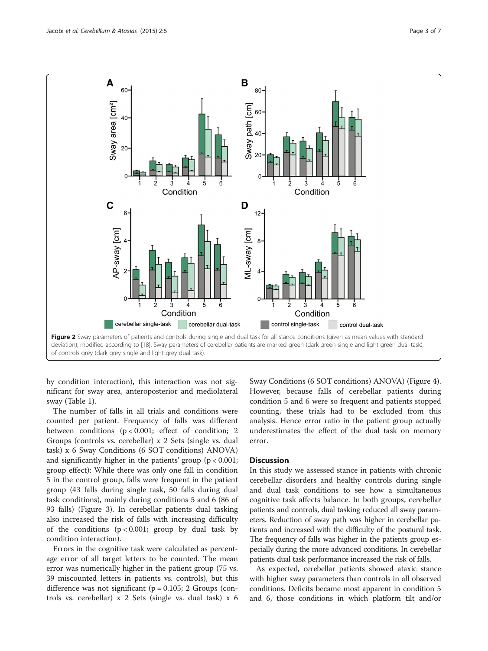<span id="page-2-0"></span>

by condition interaction), this interaction was not significant for sway area, anteroposterior and mediolateral sway (Table [1](#page-3-0)).

The number of falls in all trials and conditions were counted per patient. Frequency of falls was different between conditions ( $p < 0.001$ ; effect of condition; 2 Groups (controls vs. cerebellar) x 2 Sets (single vs. dual task) x 6 Sway Conditions (6 SOT conditions) ANOVA) and significantly higher in the patients' group  $(p < 0.001$ ; group effect): While there was only one fall in condition 5 in the control group, falls were frequent in the patient group (43 falls during single task, 50 falls during dual task conditions), mainly during conditions 5 and 6 (86 of 93 falls) (Figure [3](#page-4-0)). In cerebellar patients dual tasking also increased the risk of falls with increasing difficulty of the conditions  $(p < 0.001$ ; group by dual task by condition interaction).

Errors in the cognitive task were calculated as percentage error of all target letters to be counted. The mean error was numerically higher in the patient group (75 vs. 39 miscounted letters in patients vs. controls), but this difference was not significant ( $p = 0.105$ ; 2 Groups (controls vs. cerebellar) x 2 Sets (single vs. dual task) x 6 Sway Conditions (6 SOT conditions) ANOVA) (Figure [4](#page-4-0)). However, because falls of cerebellar patients during condition 5 and 6 were so frequent and patients stopped counting, these trials had to be excluded from this analysis. Hence error ratio in the patient group actually underestimates the effect of the dual task on memory error.

## **Discussion**

In this study we assessed stance in patients with chronic cerebellar disorders and healthy controls during single and dual task conditions to see how a simultaneous cognitive task affects balance. In both groups, cerebellar patients and controls, dual tasking reduced all sway parameters. Reduction of sway path was higher in cerebellar patients and increased with the difficulty of the postural task. The frequency of falls was higher in the patients group especially during the more advanced conditions. In cerebellar patients dual task performance increased the risk of falls.

As expected, cerebellar patients showed ataxic stance with higher sway parameters than controls in all observed conditions. Deficits became most apparent in condition 5 and 6, those conditions in which platform tilt and/or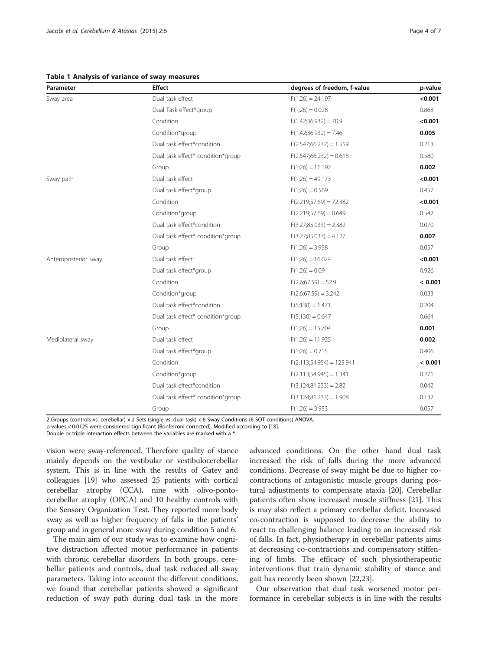<span id="page-3-0"></span>Table 1 Analysis of variance of sway measures

| Parameter            | <b>Effect</b>                     | degrees of freedom, f-value  | p-value |
|----------------------|-----------------------------------|------------------------------|---------|
| Sway area            | Dual task effect                  | $F(1;26) = 24.197$           | < 0.001 |
|                      | Dual Task effect*group            | $F(1;26) = 0.028$            | 0.868   |
|                      | Condition                         | $F(1.42;36.932) = 70.9$      | < 0.001 |
|                      | Condition*group                   | $F(1.42;36.932) = 7.46$      | 0.005   |
|                      | Dual task effect*condition        | $F(2.547; 66.232) = 1.559$   | 0.213   |
|                      | Dual task effect* condition*group | $F(2.547; 66.232) = 0.618$   | 0.580   |
|                      | Group                             | $F(1;26) = 11.192$           | 0.002   |
| Sway path            | Dual task effect                  | $F(1;26) = 49.173$           | < 0.001 |
|                      | Dual task effect*group            | $F(1;26) = 0.569$            | 0.457   |
|                      | Condition                         | $F(2.219; 57.69) = 72.382$   | < 0.001 |
|                      | Condition*group                   | $F(2.219; 57.69) = 0.649$    | 0.542   |
|                      | Dual task effect*condition        | $F(3.27; 85.033) = 2.382$    | 0.070   |
|                      | Dual task effect* condition*group | $F(3.27; 85.033) = 4.127$    | 0.007   |
|                      | Group                             | $F(1;26) = 3.958$            | 0.057   |
| Anteroposterior sway | Dual task effect                  | $F(1;26) = 16.024$           | < 0.001 |
|                      | Dual task effect*group            | $F(1;26) = 0.09$             | 0.926   |
|                      | Condition                         | $F(2.6; 67.59) = 52.9$       | < 0.001 |
|                      | Condition*group                   | $F(2.6;67.59) = 3.242$       | 0.033   |
|                      | Dual task effect*condition        | $F(5;130) = 1.471$           | 0.204   |
|                      | Dual task effect* condition*group | $F(5;130) = 0.647$           | 0.664   |
|                      | Group                             | $F(1;26) = 15.704$           | 0.001   |
| Mediolateral sway    | Dual task effect                  | $F(1;26) = 11.925$           | 0.002   |
|                      | Dual task effect*group            | $F(1;26) = 0.715$            | 0.406   |
|                      | Condition                         | $F(2.113; 54.954) = 125.941$ | < 0.001 |
|                      | Condition*group                   | $F(2.113; 54.945) = 1.341$   | 0.271   |
|                      | Dual task effect*condition        | $F(3.124; 81.233) = 2.82$    | 0.042   |
|                      | Dual task effect* condition*group | $F(3.124;81.233) = 1.908$    | 0.132   |
|                      | Group                             | $F(1;26) = 3.953$            | 0.057   |

2 Groups (controls vs. cerebellar) x 2 Sets (single vs. dual task) x 6 Sway Conditions (6 SOT conditions) ANOVA.

p-values < 0.0125 were considered significant (Bonferroni corrected). Modified according to [\[18](#page-6-0)].

Double or triple interaction effects between the variables are marked with a \*.

vision were sway-referenced. Therefore quality of stance mainly depends on the vestibular or vestibulocerebellar system. This is in line with the results of Gatev and colleagues [\[19\]](#page-6-0) who assessed 25 patients with cortical cerebellar atrophy (CCA), nine with olivo-pontocerebellar atrophy (OPCA) and 10 healthy controls with the Sensory Organization Test. They reported more body sway as well as higher frequency of falls in the patients' group and in general more sway during condition 5 and 6.

The main aim of our study was to examine how cognitive distraction affected motor performance in patients with chronic cerebellar disorders. In both groups, cerebellar patients and controls, dual task reduced all sway parameters. Taking into account the different conditions, we found that cerebellar patients showed a significant reduction of sway path during dual task in the more

advanced conditions. On the other hand dual task increased the risk of falls during the more advanced conditions. Decrease of sway might be due to higher cocontractions of antagonistic muscle groups during postural adjustments to compensate ataxia [[20](#page-6-0)]. Cerebellar patients often show increased muscle stiffness [[21\]](#page-6-0). This is may also reflect a primary cerebellar deficit. Increased co-contraction is supposed to decrease the ability to react to challenging balance leading to an increased risk of falls. In fact, physiotherapy in cerebellar patients aims at decreasing co-contractions and compensatory stiffening of limbs. The efficacy of such physiotherapeutic interventions that train dynamic stability of stance and gait has recently been shown [\[22,23](#page-6-0)].

Our observation that dual task worsened motor performance in cerebellar subjects is in line with the results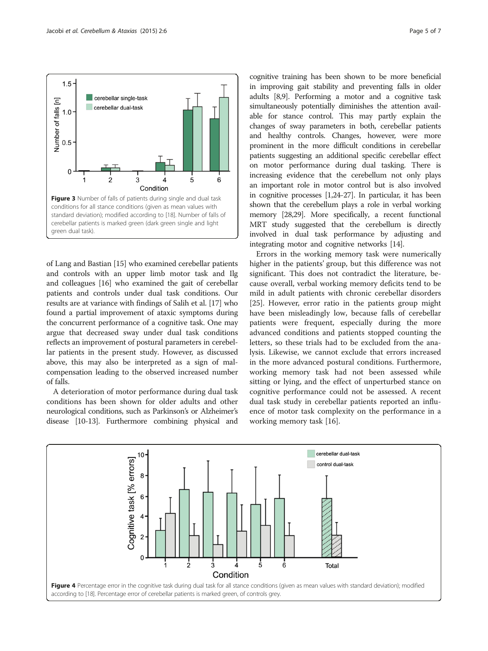<span id="page-4-0"></span>

of Lang and Bastian [[15](#page-6-0)] who examined cerebellar patients and controls with an upper limb motor task and Ilg and colleagues [[16](#page-6-0)] who examined the gait of cerebellar patients and controls under dual task conditions. Our results are at variance with findings of Salih et al. [\[17\]](#page-6-0) who found a partial improvement of ataxic symptoms during the concurrent performance of a cognitive task. One may argue that decreased sway under dual task conditions reflects an improvement of postural parameters in cerebellar patients in the present study. However, as discussed above, this may also be interpreted as a sign of malcompensation leading to the observed increased number of falls.

A deterioration of motor performance during dual task conditions has been shown for older adults and other neurological conditions, such as Parkinson's or Alzheimer's disease [[10](#page-6-0)-[13\]](#page-6-0). Furthermore combining physical and

cognitive training has been shown to be more beneficial in improving gait stability and preventing falls in older adults [\[8,9\]](#page-6-0). Performing a motor and a cognitive task simultaneously potentially diminishes the attention available for stance control. This may partly explain the changes of sway parameters in both, cerebellar patients and healthy controls. Changes, however, were more prominent in the more difficult conditions in cerebellar patients suggesting an additional specific cerebellar effect on motor performance during dual tasking. There is increasing evidence that the cerebellum not only plays an important role in motor control but is also involved in cognitive processes [[1,24-27\]](#page-6-0). In particular, it has been shown that the cerebellum plays a role in verbal working memory [\[28,29\]](#page-6-0). More specifically, a recent functional MRT study suggested that the cerebellum is directly involved in dual task performance by adjusting and integrating motor and cognitive networks [\[14\]](#page-6-0).

Errors in the working memory task were numerically higher in the patients' group, but this difference was not significant. This does not contradict the literature, because overall, verbal working memory deficits tend to be mild in adult patients with chronic cerebellar disorders [[25\]](#page-6-0). However, error ratio in the patients group might have been misleadingly low, because falls of cerebellar patients were frequent, especially during the more advanced conditions and patients stopped counting the letters, so these trials had to be excluded from the analysis. Likewise, we cannot exclude that errors increased in the more advanced postural conditions. Furthermore, working memory task had not been assessed while sitting or lying, and the effect of unperturbed stance on cognitive performance could not be assessed. A recent dual task study in cerebellar patients reported an influence of motor task complexity on the performance in a working memory task [\[16](#page-6-0)].

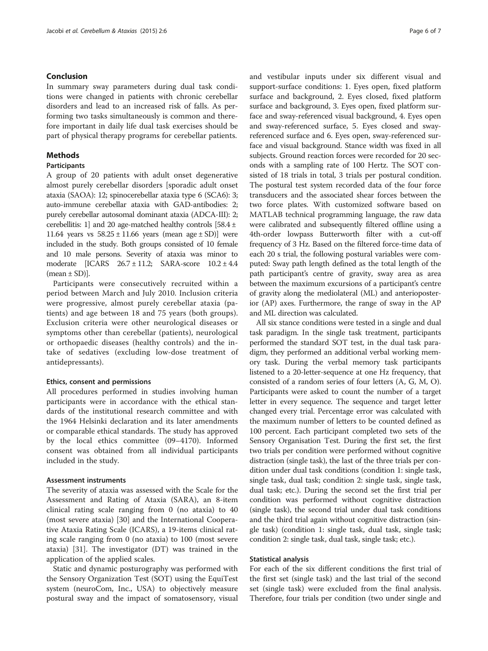## Conclusion

In summary sway parameters during dual task conditions were changed in patients with chronic cerebellar disorders and lead to an increased risk of falls. As performing two tasks simultaneously is common and therefore important in daily life dual task exercises should be part of physical therapy programs for cerebellar patients.

## Methods

## **Participants**

A group of 20 patients with adult onset degenerative almost purely cerebellar disorders [sporadic adult onset ataxia (SAOA): 12; spinocerebellar ataxia type 6 (SCA6): 3; auto-immune cerebellar ataxia with GAD-antibodies: 2; purely cerebellar autosomal dominant ataxia (ADCA-III): 2; cerebellitis: 1] and 20 age-matched healthy controls [58.4 ± 11.64 years vs  $58.25 \pm 11.66$  years (mean age  $\pm$  SD)] were included in the study. Both groups consisted of 10 female and 10 male persons. Severity of ataxia was minor to moderate [ICARS 26.7 ± 11.2; SARA-score 10.2 ± 4.4  $(mean \pm SD)$ ].

Participants were consecutively recruited within a period between March and July 2010. Inclusion criteria were progressive, almost purely cerebellar ataxia (patients) and age between 18 and 75 years (both groups). Exclusion criteria were other neurological diseases or symptoms other than cerebellar (patients), neurological or orthopaedic diseases (healthy controls) and the intake of sedatives (excluding low-dose treatment of antidepressants).

## Ethics, consent and permissions

All procedures performed in studies involving human participants were in accordance with the ethical standards of the institutional research committee and with the 1964 Helsinki declaration and its later amendments or comparable ethical standards. The study has approved by the local ethics committee (09–4170). Informed consent was obtained from all individual participants included in the study.

## Assessment instruments

The severity of ataxia was assessed with the Scale for the Assessment and Rating of Ataxia (SARA), an 8-item clinical rating scale ranging from 0 (no ataxia) to 40 (most severe ataxia) [\[30](#page-6-0)] and the International Cooperative Ataxia Rating Scale (ICARS), a 19-items clinical rating scale ranging from 0 (no ataxia) to 100 (most severe ataxia) [[31\]](#page-6-0). The investigator (DT) was trained in the application of the applied scales.

Static and dynamic posturography was performed with the Sensory Organization Test (SOT) using the EquiTest system (neuroCom, Inc., USA) to objectively measure postural sway and the impact of somatosensory, visual

and vestibular inputs under six different visual and support-surface conditions: 1. Eyes open, fixed platform surface and background, 2. Eyes closed, fixed platform surface and background, 3. Eyes open, fixed platform surface and sway-referenced visual background, 4. Eyes open and sway-referenced surface, 5. Eyes closed and swayreferenced surface and 6. Eyes open, sway-referenced surface and visual background. Stance width was fixed in all subjects. Ground reaction forces were recorded for 20 seconds with a sampling rate of 100 Hertz. The SOT consisted of 18 trials in total, 3 trials per postural condition. The postural test system recorded data of the four force transducers and the associated shear forces between the two force plates. With customized software based on MATLAB technical programming language, the raw data were calibrated and subsequently filtered offline using a 4th-order lowpass Butterworth filter with a cut-off frequency of 3 Hz. Based on the filtered force-time data of each 20 s trial, the following postural variables were computed: Sway path length defined as the total length of the path participant's centre of gravity, sway area as area between the maximum excursions of a participant's centre of gravity along the mediolateral (ML) and anterioposterior (AP) axes. Furthermore, the range of sway in the AP and ML direction was calculated.

All six stance conditions were tested in a single and dual task paradigm. In the single task treatment, participants performed the standard SOT test, in the dual task paradigm, they performed an additional verbal working memory task. During the verbal memory task participants listened to a 20-letter-sequence at one Hz frequency, that consisted of a random series of four letters (A, G, M, O). Participants were asked to count the number of a target letter in every sequence. The sequence and target letter changed every trial. Percentage error was calculated with the maximum number of letters to be counted defined as 100 percent. Each participant completed two sets of the Sensory Organisation Test. During the first set, the first two trials per condition were performed without cognitive distraction (single task), the last of the three trials per condition under dual task conditions (condition 1: single task, single task, dual task; condition 2: single task, single task, dual task; etc.). During the second set the first trial per condition was performed without cognitive distraction (single task), the second trial under dual task conditions and the third trial again without cognitive distraction (single task) (condition 1: single task, dual task, single task; condition 2: single task, dual task, single task; etc.).

## Statistical analysis

For each of the six different conditions the first trial of the first set (single task) and the last trial of the second set (single task) were excluded from the final analysis. Therefore, four trials per condition (two under single and